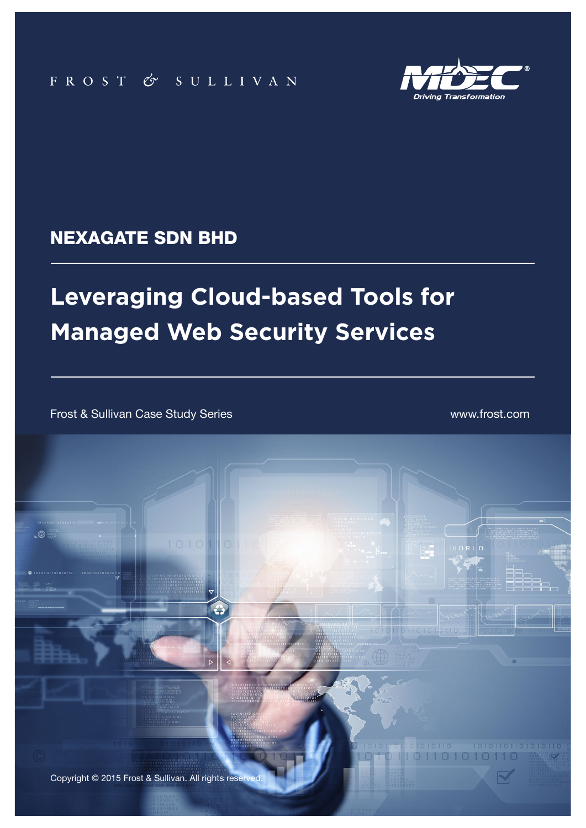

### NEXAGATE SDN BHD

# **Leveraging Cloud-based Tools for Managed Web Security Services**

**1** Frost & Sullivan Case Study Series Nexagate Sdn Bhd

Frost & Sullivan Case Study Series www.frost.com

 $\mathbb{R}$ 

Copyright © 2015 Frost & Sullivan. All rights reserved.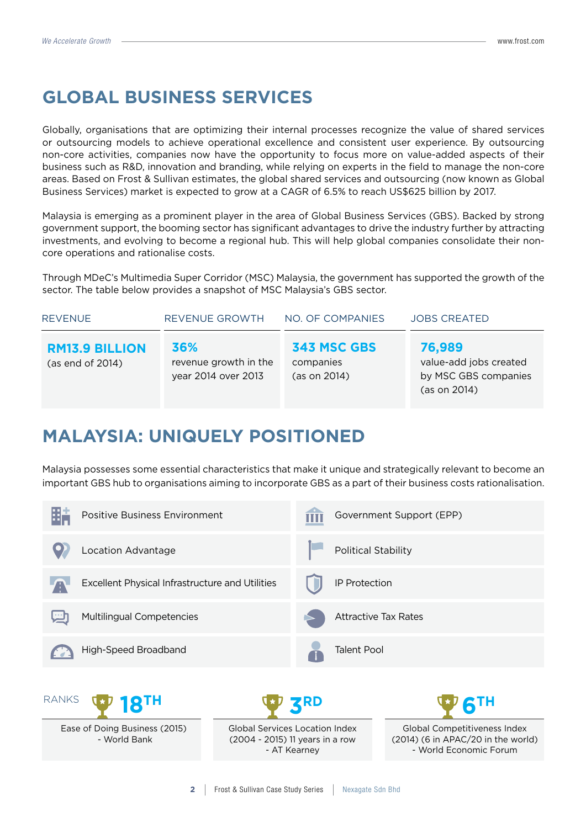## **GLOBAL BUSINESS SERVICES**

Globally, organisations that are optimizing their internal processes recognize the value of shared services or outsourcing models to achieve operational excellence and consistent user experience. By outsourcing non-core activities, companies now have the opportunity to focus more on value-added aspects of their business such as R&D, innovation and branding, while relying on experts in the field to manage the non-core areas. Based on Frost & Sullivan estimates, the global shared services and outsourcing (now known as Global Business Services) market is expected to grow at a CAGR of 6.5% to reach US\$625 billion by 2017.

Malaysia is emerging as a prominent player in the area of Global Business Services (GBS). Backed by strong government support, the booming sector has significant advantages to drive the industry further by attracting investments, and evolving to become a regional hub. This will help global companies consolidate their noncore operations and rationalise costs.

Through MDeC's Multimedia Super Corridor (MSC) Malaysia, the government has supported the growth of the sector. The table below provides a snapshot of MSC Malaysia's GBS sector.

| <b>REVENUE</b>                            | REVENUE GROWTH                                      | NO. OF COMPANIES                         | <b>JOBS CREATED</b>                                                      |
|-------------------------------------------|-----------------------------------------------------|------------------------------------------|--------------------------------------------------------------------------|
| <b>RM13.9 BILLION</b><br>(as end of 2014) | 36%<br>revenue growth in the<br>year 2014 over 2013 | 343 MSC GBS<br>companies<br>(as on 2014) | 76,989<br>value-add jobs created<br>by MSC GBS companies<br>(as on 2014) |

## **MALAYSIA: UNIQUELY POSITIONED**

Malaysia possesses some essential characteristics that make it unique and strategically relevant to become an important GBS hub to organisations aiming to incorporate GBS as a part of their business costs rationalisation.

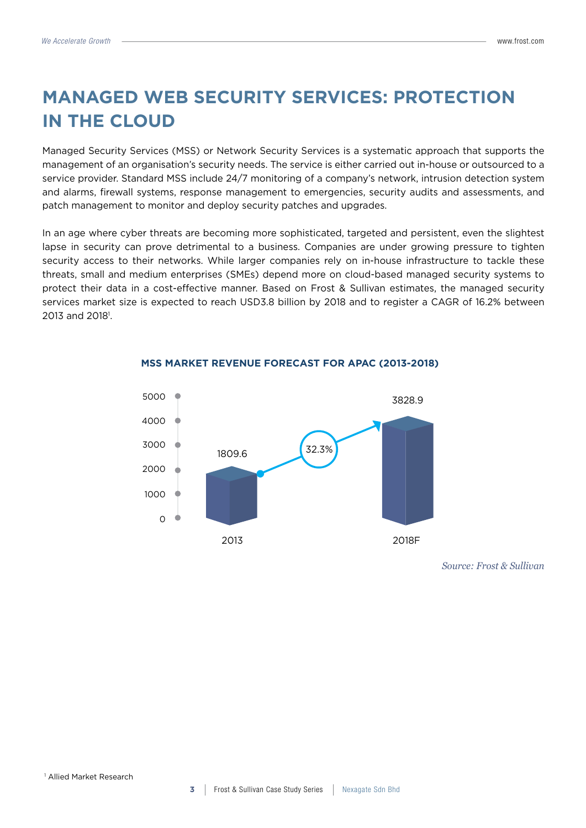## **MANAGED WEB SECURITY SERVICES: PROTECTION IN THE CLOUD**

Managed Security Services (MSS) or Network Security Services is a systematic approach that supports the management of an organisation's security needs. The service is either carried out in-house or outsourced to a service provider. Standard MSS include 24/7 monitoring of a company's network, intrusion detection system and alarms, firewall systems, response management to emergencies, security audits and assessments, and patch management to monitor and deploy security patches and upgrades.

In an age where cyber threats are becoming more sophisticated, targeted and persistent, even the slightest lapse in security can prove detrimental to a business. Companies are under growing pressure to tighten security access to their networks. While larger companies rely on in-house infrastructure to tackle these threats, small and medium enterprises (SMEs) depend more on cloud-based managed security systems to protect their data in a cost-effective manner. Based on Frost & Sullivan estimates, the managed security services market size is expected to reach USD3.8 billion by 2018 and to register a CAGR of 16.2% between 2013 and 2018<sup>1</sup>.



#### **MSS MARKET REVENUE FORECAST FOR APAC (2013-2018)**

*Source: Frost & Sullivan*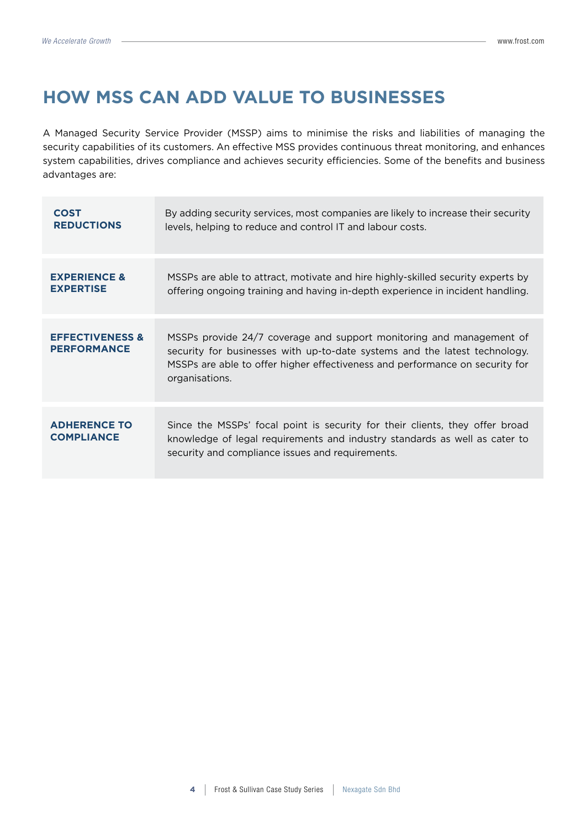## **HOW MSS CAN ADD VALUE TO BUSINESSES**

A Managed Security Service Provider (MSSP) aims to minimise the risks and liabilities of managing the security capabilities of its customers. An effective MSS provides continuous threat monitoring, and enhances system capabilities, drives compliance and achieves security efficiencies. Some of the benefits and business advantages are:

| <b>COST</b>                                      | By adding security services, most companies are likely to increase their security                                                                                                                                                                    |
|--------------------------------------------------|------------------------------------------------------------------------------------------------------------------------------------------------------------------------------------------------------------------------------------------------------|
| <b>REDUCTIONS</b>                                | levels, helping to reduce and control IT and labour costs.                                                                                                                                                                                           |
| <b>EXPERIENCE &amp;</b>                          | MSSPs are able to attract, motivate and hire highly-skilled security experts by                                                                                                                                                                      |
| <b>EXPERTISE</b>                                 | offering ongoing training and having in-depth experience in incident handling.                                                                                                                                                                       |
| <b>EFFECTIVENESS &amp;</b><br><b>PERFORMANCE</b> | MSSPs provide 24/7 coverage and support monitoring and management of<br>security for businesses with up-to-date systems and the latest technology.<br>MSSPs are able to offer higher effectiveness and performance on security for<br>organisations. |
| <b>ADHERENCE TO</b><br><b>COMPLIANCE</b>         | Since the MSSPs' focal point is security for their clients, they offer broad<br>knowledge of legal requirements and industry standards as well as cater to<br>security and compliance issues and requirements.                                       |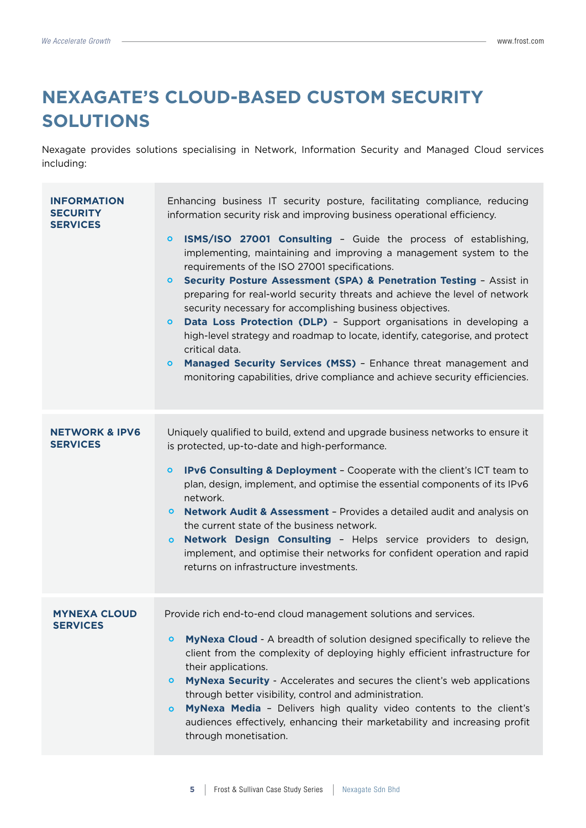## **NEXAGATE'S CLOUD-BASED CUSTOM SECURITY SOLUTIONS**

Nexagate provides solutions specialising in Network, Information Security and Managed Cloud services including:

| <b>INFORMATION</b><br><b>SECURITY</b><br><b>SERVICES</b> | Enhancing business IT security posture, facilitating compliance, reducing<br>information security risk and improving business operational efficiency.<br>ISMS/ISO 27001 Consulting - Guide the process of establishing,<br>$\bullet$<br>implementing, maintaining and improving a management system to the<br>requirements of the ISO 27001 specifications.<br>Security Posture Assessment (SPA) & Penetration Testing - Assist in<br>$\mathbf{o}$<br>preparing for real-world security threats and achieve the level of network<br>security necessary for accomplishing business objectives.<br>Data Loss Protection (DLP) - Support organisations in developing a<br>$\bullet$<br>high-level strategy and roadmap to locate, identify, categorise, and protect<br>critical data.<br>Managed Security Services (MSS) - Enhance threat management and<br>$\circ$<br>monitoring capabilities, drive compliance and achieve security efficiencies. |
|----------------------------------------------------------|--------------------------------------------------------------------------------------------------------------------------------------------------------------------------------------------------------------------------------------------------------------------------------------------------------------------------------------------------------------------------------------------------------------------------------------------------------------------------------------------------------------------------------------------------------------------------------------------------------------------------------------------------------------------------------------------------------------------------------------------------------------------------------------------------------------------------------------------------------------------------------------------------------------------------------------------------|
| <b>NETWORK &amp; IPV6</b><br><b>SERVICES</b>             | Uniquely qualified to build, extend and upgrade business networks to ensure it<br>is protected, up-to-date and high-performance.<br>IPv6 Consulting & Deployment - Cooperate with the client's ICT team to<br>$\mathbf{o}$<br>plan, design, implement, and optimise the essential components of its IPv6<br>network.<br>Network Audit & Assessment - Provides a detailed audit and analysis on<br>$\circ$<br>the current state of the business network.<br><b>Network Design Consulting - Helps service providers to design,</b><br>$\bullet$<br>implement, and optimise their networks for confident operation and rapid<br>returns on infrastructure investments.                                                                                                                                                                                                                                                                              |
| <b>MYNEXA CLOUD</b><br><b>SERVICES</b>                   | Provide rich end-to-end cloud management solutions and services.<br>MyNexa Cloud - A breadth of solution designed specifically to relieve the<br>$\circ$<br>client from the complexity of deploying highly efficient infrastructure for<br>their applications.<br>MyNexa Security - Accelerates and secures the client's web applications<br>$\circ$<br>through better visibility, control and administration.<br>MyNexa Media - Delivers high quality video contents to the client's<br>$\circ$<br>audiences effectively, enhancing their marketability and increasing profit<br>through monetisation.                                                                                                                                                                                                                                                                                                                                          |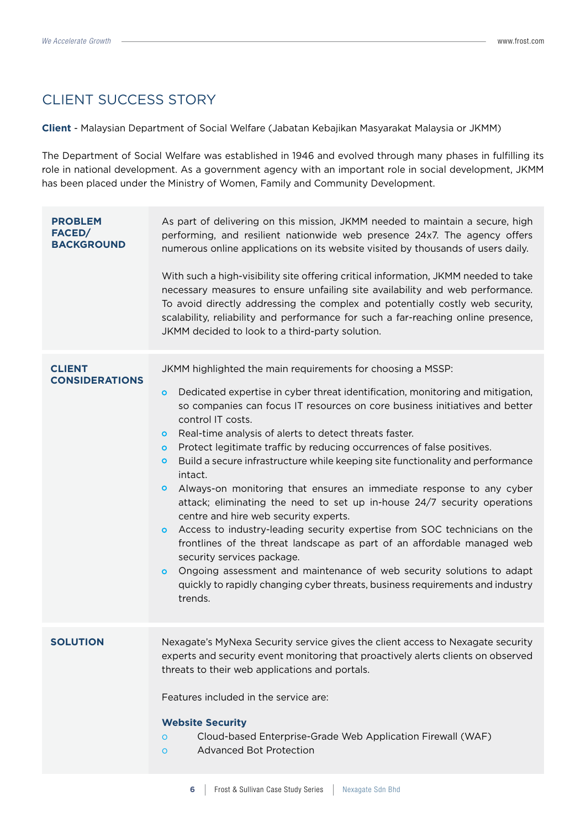### CLIENT SUCCESS STORY

**Client** - Malaysian Department of Social Welfare (Jabatan Kebajikan Masyarakat Malaysia or JKMM)

The Department of Social Welfare was established in 1946 and evolved through many phases in fulfilling its role in national development. As a government agency with an important role in social development, JKMM has been placed under the Ministry of Women, Family and Community Development.

| <b>PROBLEM</b><br>FACED/<br><b>BACKGROUND</b> | As part of delivering on this mission, JKMM needed to maintain a secure, high<br>performing, and resilient nationwide web presence 24x7. The agency offers<br>numerous online applications on its website visited by thousands of users daily.<br>With such a high-visibility site offering critical information, JKMM needed to take<br>necessary measures to ensure unfailing site availability and web performance.<br>To avoid directly addressing the complex and potentially costly web security,<br>scalability, reliability and performance for such a far-reaching online presence,<br>JKMM decided to look to a third-party solution.                                                                                                                                                                                                                                                                                                                                                                                                                                                                      |
|-----------------------------------------------|----------------------------------------------------------------------------------------------------------------------------------------------------------------------------------------------------------------------------------------------------------------------------------------------------------------------------------------------------------------------------------------------------------------------------------------------------------------------------------------------------------------------------------------------------------------------------------------------------------------------------------------------------------------------------------------------------------------------------------------------------------------------------------------------------------------------------------------------------------------------------------------------------------------------------------------------------------------------------------------------------------------------------------------------------------------------------------------------------------------------|
| <b>CLIENT</b><br><b>CONSIDERATIONS</b>        | JKMM highlighted the main requirements for choosing a MSSP:<br>Dedicated expertise in cyber threat identification, monitoring and mitigation,<br>$\bullet$<br>so companies can focus IT resources on core business initiatives and better<br>control IT costs.<br>Real-time analysis of alerts to detect threats faster.<br>$\circ$<br>Protect legitimate traffic by reducing occurrences of false positives.<br>$\circ$<br>Build a secure infrastructure while keeping site functionality and performance<br>O<br>intact.<br>Always-on monitoring that ensures an immediate response to any cyber<br>O<br>attack; eliminating the need to set up in-house 24/7 security operations<br>centre and hire web security experts.<br>Access to industry-leading security expertise from SOC technicians on the<br>$\mathbf{o}$<br>frontlines of the threat landscape as part of an affordable managed web<br>security services package.<br>Ongoing assessment and maintenance of web security solutions to adapt<br>$\bullet$<br>quickly to rapidly changing cyber threats, business requirements and industry<br>trends. |
| <b>SOLUTION</b>                               | Nexagate's MyNexa Security service gives the client access to Nexagate security<br>experts and security event monitoring that proactively alerts clients on observed<br>threats to their web applications and portals.<br>Features included in the service are:<br><b>Website Security</b><br>Cloud-based Enterprise-Grade Web Application Firewall (WAF)<br>$\circ$<br><b>Advanced Bot Protection</b><br>$\circ$                                                                                                                                                                                                                                                                                                                                                                                                                                                                                                                                                                                                                                                                                                    |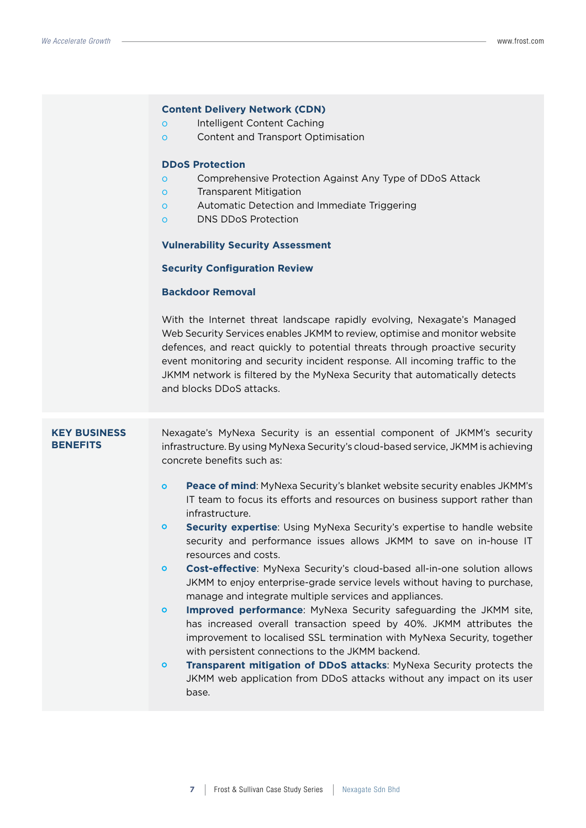|                                        | <b>Content Delivery Network (CDN)</b><br>Intelligent Content Caching<br>$\circ$<br>Content and Transport Optimisation<br>$\circ$<br><b>DDoS Protection</b><br>Comprehensive Protection Against Any Type of DDoS Attack<br>$\circ$<br><b>Transparent Mitigation</b><br>$\circ$<br>Automatic Detection and Immediate Triggering<br>$\circ$<br><b>DNS DDoS Protection</b><br>$\circ$<br><b>Vulnerability Security Assessment</b><br><b>Security Configuration Review</b><br><b>Backdoor Removal</b><br>With the Internet threat landscape rapidly evolving, Nexagate's Managed<br>Web Security Services enables JKMM to review, optimise and monitor website<br>defences, and react quickly to potential threats through proactive security<br>event monitoring and security incident response. All incoming traffic to the<br>JKMM network is filtered by the MyNexa Security that automatically detects<br>and blocks DDoS attacks.                                                                                                                                                                                                                                                                                                                              |
|----------------------------------------|-----------------------------------------------------------------------------------------------------------------------------------------------------------------------------------------------------------------------------------------------------------------------------------------------------------------------------------------------------------------------------------------------------------------------------------------------------------------------------------------------------------------------------------------------------------------------------------------------------------------------------------------------------------------------------------------------------------------------------------------------------------------------------------------------------------------------------------------------------------------------------------------------------------------------------------------------------------------------------------------------------------------------------------------------------------------------------------------------------------------------------------------------------------------------------------------------------------------------------------------------------------------|
| <b>KEY BUSINESS</b><br><b>BENEFITS</b> | Nexagate's MyNexa Security is an essential component of JKMM's security<br>infrastructure. By using MyNexa Security's cloud-based service, JKMM is achieving<br>concrete benefits such as:<br>Peace of mind: MyNexa Security's blanket website security enables JKMM's<br>$\circ$<br>IT team to focus its efforts and resources on business support rather than<br>infrastructure.<br>Security expertise: Using MyNexa Security's expertise to handle website<br>$\circ$<br>security and performance issues allows JKMM to save on in-house IT<br>resources and costs.<br>Cost-effective: MyNexa Security's cloud-based all-in-one solution allows<br>$\circ$<br>JKMM to enjoy enterprise-grade service levels without having to purchase,<br>manage and integrate multiple services and appliances.<br>Improved performance: MyNexa Security safeguarding the JKMM site,<br>$\circ$<br>has increased overall transaction speed by 40%. JKMM attributes the<br>improvement to localised SSL termination with MyNexa Security, together<br>with persistent connections to the JKMM backend.<br>Transparent mitigation of DDoS attacks: MyNexa Security protects the<br>$\circ$<br>JKMM web application from DDoS attacks without any impact on its user<br>base. |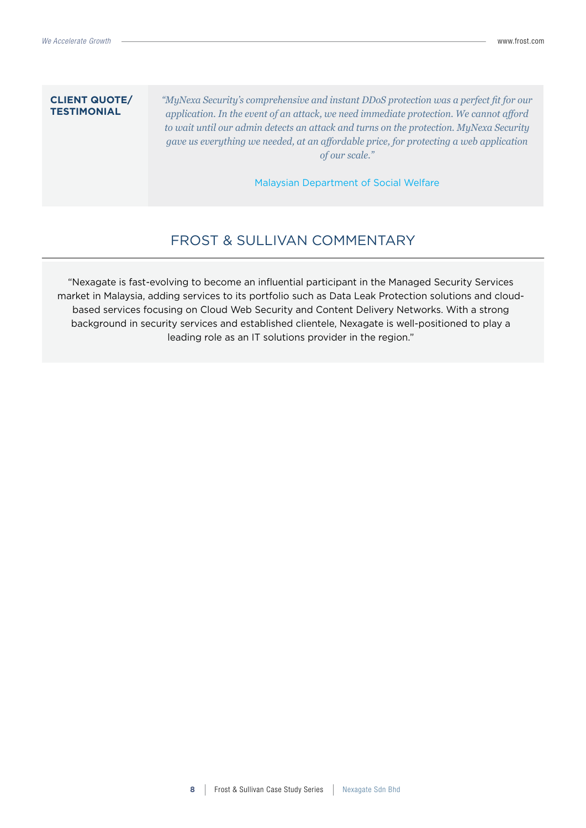#### **CLIENT QUOTE/ TESTIMONIAL**

*"MyNexa Security's comprehensive and instant DDoS protection was a perfect fit for our application. In the event of an attack, we need immediate protection. We cannot afford to wait until our admin detects an attack and turns on the protection. MyNexa Security gave us everything we needed, at an affordable price, for protecting a web application of our scale."* 

Malaysian Department of Social Welfare

### FROST & SULLIVAN COMMENTARY

"Nexagate is fast-evolving to become an influential participant in the Managed Security Services market in Malaysia, adding services to its portfolio such as Data Leak Protection solutions and cloudbased services focusing on Cloud Web Security and Content Delivery Networks. With a strong background in security services and established clientele, Nexagate is well-positioned to play a leading role as an IT solutions provider in the region."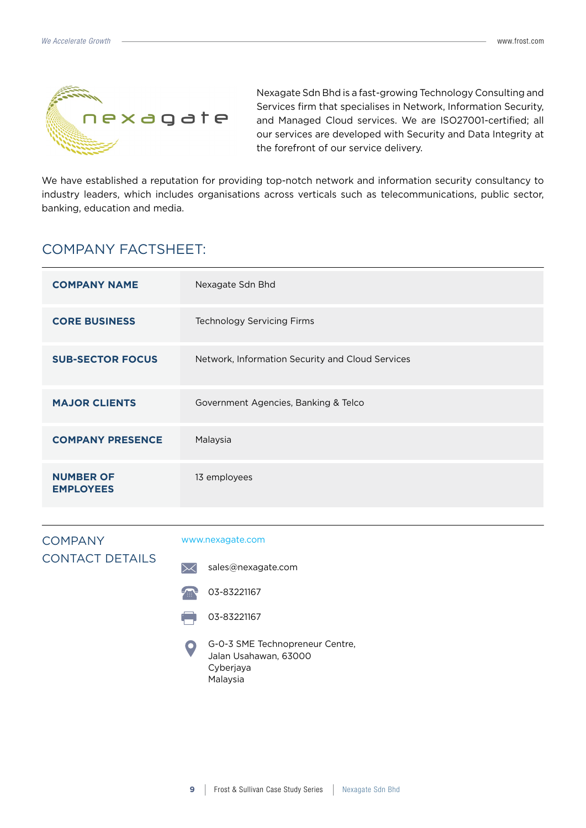

Nexagate Sdn Bhd is a fast-growing Technology Consulting and Services firm that specialises in Network, Information Security, and Managed Cloud services. We are ISO27001-certified; all our services are developed with Security and Data Integrity at the forefront of our service delivery.

We have established a reputation for providing top-notch network and information security consultancy to industry leaders, which includes organisations across verticals such as telecommunications, public sector, banking, education and media.

### COMPANY FACTSHEET:

| <b>COMPANY NAME</b>                  | Nexagate Sdn Bhd                                 |
|--------------------------------------|--------------------------------------------------|
| <b>CORE BUSINESS</b>                 | <b>Technology Servicing Firms</b>                |
| <b>SUB-SECTOR FOCUS</b>              | Network, Information Security and Cloud Services |
| <b>MAJOR CLIENTS</b>                 | Government Agencies, Banking & Telco             |
| <b>COMPANY PRESENCE</b>              | Malaysia                                         |
| <b>NUMBER OF</b><br><b>EMPLOYEES</b> | 13 employees                                     |

| <b>COMPANY</b>         | www.r               |
|------------------------|---------------------|
| <b>CONTACT DETAILS</b> | $\mathord{\bowtie}$ |
|                        | Æ                   |

#### nexagate.com

sales@nexagate.com



- 03-83221167
- G-0-3 SME Technopreneur Centre, Jalan Usahawan, 63000 Cyberjaya Malaysia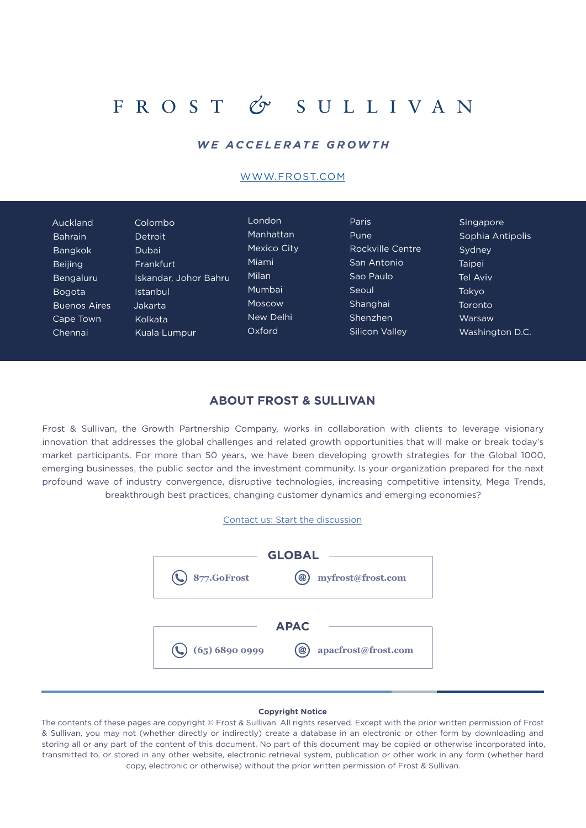## FROST & SULLIVAN

### *WE ACCELERATE GROWTH*

#### [WWW.FROST.COM](http://www.frost.com)

| Auckland            | Colombo               | London      | <b>Paris</b>     | Singapore        |
|---------------------|-----------------------|-------------|------------------|------------------|
| <b>Bahrain</b>      | <b>Detroit</b>        | Manhattan   | Pune             | Sophia Antipolis |
| <b>Bangkok</b>      | Dubai                 | Mexico City | Rockville Centre | Sydney           |
| <b>Beijing</b>      | Frankfurt             | Miami       | San Antonio      | Taipei           |
| <b>Bengaluru</b>    | Iskandar, Johor Bahru | Milan       | Sao Paulo        | Tel Aviv         |
| <b>Bogota</b>       | Istanbul              | Mumbai      | Seoul            | Tokyo            |
| <b>Buenos Aires</b> | Jakarta               | Moscow      | Shanghai         | Toronto          |
| Cape Town           | Kolkata               | New Delhi   | Shenzhen         | Warsaw           |
| Chennai             | Kuala Lumpur          | Oxford      | Silicon Valley   | Washington D.C.  |

#### **ABOUT FROST & SULLIVAN**

Frost & Sullivan, the Growth Partnership Company, works in collaboration with clients to leverage visionary innovation that addresses the global challenges and related growth opportunities that will make or break today's market participants. For more than 50 years, we have been developing growth strategies for the Global 1000, emerging businesses, the public sector and the investment community. Is your organization prepared for the next profound wave of industry convergence, disruptive technologies, increasing competitive intensity, Mega Trends, breakthrough best practices, changing customer dynamics and emerging economies?





#### **Copyright Notice**

The contents of these pages are copyright © Frost & Sullivan. All rights reserved. Except with the prior written permission of Frost & Sullivan, you may not (whether directly or indirectly) create a database in an electronic or other form by downloading and storing all or any part of the content of this document. No part of this document may be copied or otherwise incorporated into, transmitted to, or stored in any other website, electronic retrieval system, publication or other work in any form (whether hard copy, electronic or otherwise) without the prior written permission of Frost & Sullivan.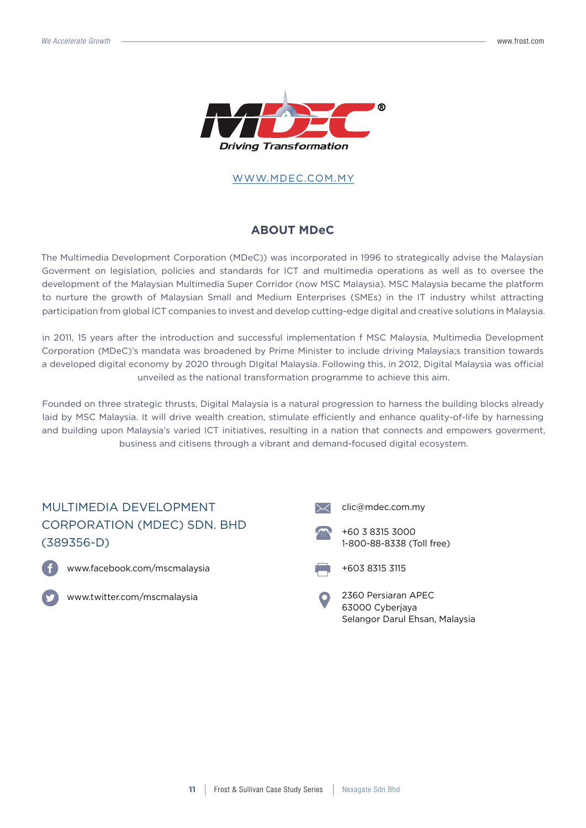

#### [WWW.MDEC.COM](http://www.frost.com).MY

### **ABOUT MDeC**

The Multimedia Development Corporation (MDeC)) was incorporated in 1996 to strategically advise the Malaysian Goverment on legislation, policies and standards for ICT and multimedia operations as well as to oversee the development of the Malaysian Multimedia Super Corridor (now MSC Malaysia). MSC Malaysia became the platform to nurture the growth of Malaysian Small and Medium Enterprises (SMEs) in the IT industry whilst attracting participation from global ICT companies to invest and develop cutting-edge digital and creative solutions in Malaysia.

in 2011, 15 years after the introduction and successful implementation f MSC Malaysia, Multimedia Development Corporation (MDeC)'s mandata was broadened by Prime Minister to include driving Malaysia;s transition towards a developed digital economy by 2020 through DIgital Malaysia. Following this, in 2012, Digital Malaysia was official unveiled as the national transformation programme to achieve this aim.

Founded on three strategic thrusts, Digital Malaysia is a natural progression to harness the building blocks already laid by MSC Malaysia. It will drive wealth creation, stimulate efficiently and enhance quality-of-life by harnessing and building upon Malaysia's varied ICT initiatives, resulting in a nation that connects and empowers goverment, business and citisens through a vibrant and demand-focused digital ecosystem.

### MULTIMEDIA DEVELOPMENT CORPORATION (MDEC) SDN. BHD (389356-D)



www.facebook.com/mscmalaysia



www.twitter.com/mscmalaysia







2360 Persiaran APEC 63000 Cyberjaya Selangor Darul Ehsan, Malaysia